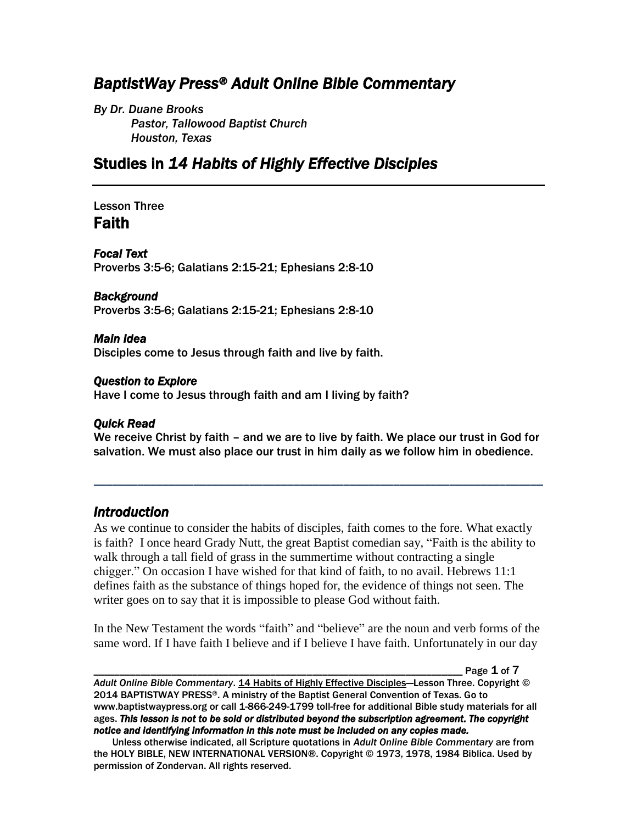# *BaptistWay Press® Adult Online Bible Commentary*

*By Dr. Duane Brooks Pastor, Tallowood Baptist Church Houston, Texas*

# Studies in *14 Habits of Highly Effective Disciples*

## Lesson Three Faith

*Focal Text*  Proverbs 3:5-6; Galatians 2:15-21; Ephesians 2:8-10

#### *Background*

Proverbs 3:5-6; Galatians 2:15-21; Ephesians 2:8-10

#### *Main Idea*

Disciples come to Jesus through faith and live by faith.

#### *Question to Explore*

Have I come to Jesus through faith and am I living by faith?

#### *Quick Read*

We receive Christ by faith – and we are to live by faith. We place our trust in God for salvation. We must also place our trust in him daily as we follow him in obedience.

*\_\_\_\_\_\_\_\_\_\_\_\_\_\_\_\_\_\_\_\_\_\_\_\_\_\_\_\_\_\_\_\_\_\_\_\_\_\_\_\_\_\_\_\_\_\_\_\_\_\_\_\_\_\_\_\_\_\_\_\_\_\_\_\_\_\_\_\_\_\_\_\_*

## *Introduction*

As we continue to consider the habits of disciples, faith comes to the fore. What exactly is faith? I once heard Grady Nutt, the great Baptist comedian say, "Faith is the ability to walk through a tall field of grass in the summertime without contracting a single chigger." On occasion I have wished for that kind of faith, to no avail. Hebrews 11:1 defines faith as the substance of things hoped for, the evidence of things not seen. The writer goes on to say that it is impossible to please God without faith.

In the New Testament the words "faith" and "believe" are the noun and verb forms of the same word. If I have faith I believe and if I believe I have faith. Unfortunately in our day

Page  $1$  of  $7$ 

*Adult Online Bible Commentary*. 14 Habits of Highly Effective Disciples—Lesson Three. Copyright © 2014 BAPTISTWAY PRESS®. A ministry of the Baptist General Convention of Texas. Go to www.baptistwaypress.org or call 1-866-249-1799 toll-free for additional Bible study materials for all ages. *This lesson is not to be sold or distributed beyond the subscription agreement. The copyright notice and identifying information in this note must be included on any copies made.* 

Unless otherwise indicated, all Scripture quotations in *Adult Online Bible Commentary* are from the HOLY BIBLE, NEW INTERNATIONAL VERSION®. Copyright © 1973, 1978, 1984 Biblica. Used by permission of Zondervan. All rights reserved.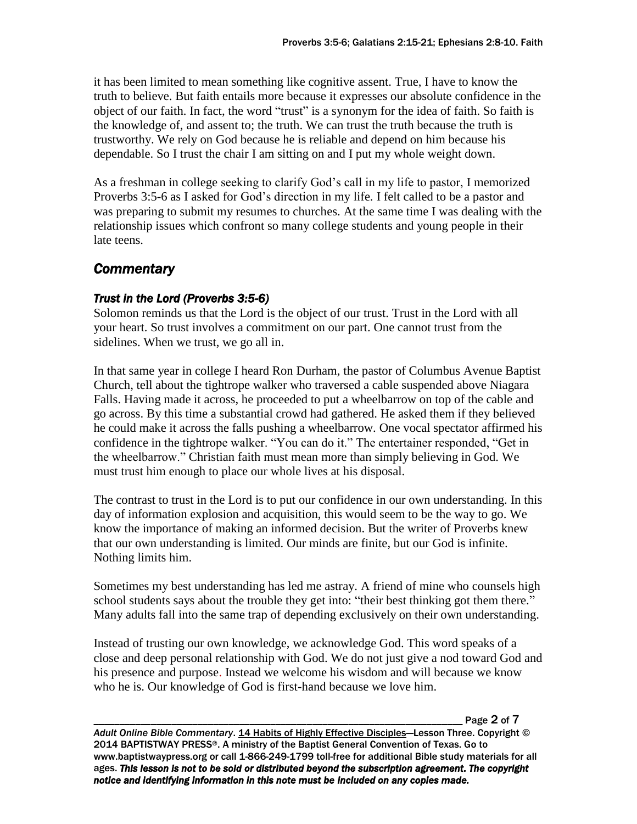it has been limited to mean something like cognitive assent. True, I have to know the truth to believe. But faith entails more because it expresses our absolute confidence in the object of our faith. In fact, the word "trust" is a synonym for the idea of faith. So faith is the knowledge of, and assent to; the truth. We can trust the truth because the truth is trustworthy. We rely on God because he is reliable and depend on him because his dependable. So I trust the chair I am sitting on and I put my whole weight down.

As a freshman in college seeking to clarify God's call in my life to pastor, I memorized Proverbs 3:5-6 as I asked for God's direction in my life. I felt called to be a pastor and was preparing to submit my resumes to churches. At the same time I was dealing with the relationship issues which confront so many college students and young people in their late teens.

# *Commentary*

## *Trust in the Lord (Proverbs 3:5-6)*

Solomon reminds us that the Lord is the object of our trust. Trust in the Lord with all your heart. So trust involves a commitment on our part. One cannot trust from the sidelines. When we trust, we go all in.

In that same year in college I heard Ron Durham, the pastor of Columbus Avenue Baptist Church, tell about the tightrope walker who traversed a cable suspended above Niagara Falls. Having made it across, he proceeded to put a wheelbarrow on top of the cable and go across. By this time a substantial crowd had gathered. He asked them if they believed he could make it across the falls pushing a wheelbarrow. One vocal spectator affirmed his confidence in the tightrope walker. "You can do it." The entertainer responded, "Get in the wheelbarrow." Christian faith must mean more than simply believing in God. We must trust him enough to place our whole lives at his disposal.

The contrast to trust in the Lord is to put our confidence in our own understanding. In this day of information explosion and acquisition, this would seem to be the way to go. We know the importance of making an informed decision. But the writer of Proverbs knew that our own understanding is limited. Our minds are finite, but our God is infinite. Nothing limits him.

Sometimes my best understanding has led me astray. A friend of mine who counsels high school students says about the trouble they get into: "their best thinking got them there." Many adults fall into the same trap of depending exclusively on their own understanding.

Instead of trusting our own knowledge, we acknowledge God. This word speaks of a close and deep personal relationship with God. We do not just give a nod toward God and his presence and purpose. Instead we welcome his wisdom and will because we know who he is. Our knowledge of God is first-hand because we love him.

Page 2 of 7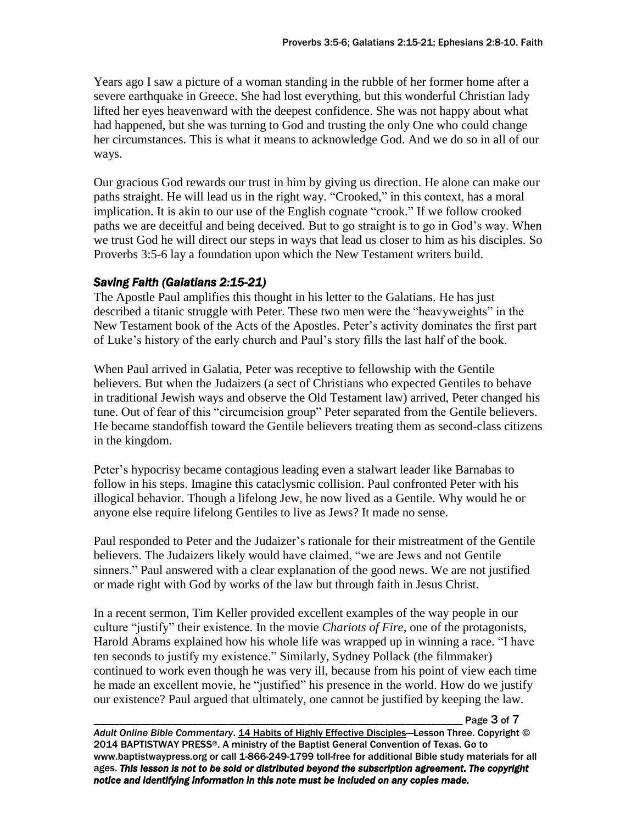Years ago I saw a picture of a woman standing in the rubble of her former home after a severe earthquake in Greece. She had lost everything, but this wonderful Christian lady lifted her eyes heavenward with the deepest confidence. She was not happy about what had happened, but she was turning to God and trusting the only One who could change her circumstances. This is what it means to acknowledge God. And we do so in all of our ways.

Our gracious God rewards our trust in him by giving us direction. He alone can make our paths straight. He will lead us in the right way. "Crooked," in this context, has a moral implication. It is akin to our use of the English cognate "crook." If we follow crooked paths we are deceitful and being deceived. But to go straight is to go in God's way. When we trust God he will direct our steps in ways that lead us closer to him as his disciples. So Proverbs 3:5-6 lay a foundation upon which the New Testament writers build.

## *Saving Faith (Galatians 2:15-21)*

The Apostle Paul amplifies this thought in his letter to the Galatians. He has just described a titanic struggle with Peter. These two men were the "heavyweights" in the New Testament book of the Acts of the Apostles. Peter's activity dominates the first part of Luke's history of the early church and Paul's story fills the last half of the book.

When Paul arrived in Galatia, Peter was receptive to fellowship with the Gentile believers. But when the Judaizers (a sect of Christians who expected Gentiles to behave in traditional Jewish ways and observe the Old Testament law) arrived, Peter changed his tune. Out of fear of this "circumcision group" Peter separated from the Gentile believers. He became standoffish toward the Gentile believers treating them as second-class citizens in the kingdom.

Peter's hypocrisy became contagious leading even a stalwart leader like Barnabas to follow in his steps. Imagine this cataclysmic collision. Paul confronted Peter with his illogical behavior. Though a lifelong Jew, he now lived as a Gentile. Why would he or anyone else require lifelong Gentiles to live as Jews? It made no sense.

Paul responded to Peter and the Judaizer's rationale for their mistreatment of the Gentile believers. The Judaizers likely would have claimed, "we are Jews and not Gentile sinners." Paul answered with a clear explanation of the good news. We are not justified or made right with God by works of the law but through faith in Jesus Christ.

In a recent sermon, Tim Keller provided excellent examples of the way people in our culture "justify" their existence. In the movie *Chariots of Fire*, one of the protagonists, Harold Abrams explained how his whole life was wrapped up in winning a race. "I have ten seconds to justify my existence." Similarly, Sydney Pollack (the filmmaker) continued to work even though he was very ill, because from his point of view each time he made an excellent movie, he "justified" his presence in the world. How do we justify our existence? Paul argued that ultimately, one cannot be justified by keeping the law.

Page 3 of 7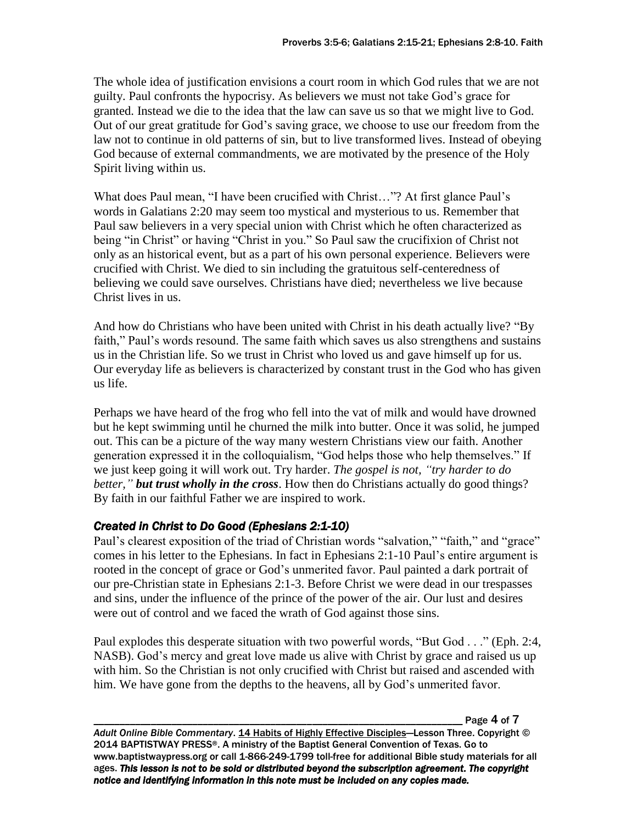The whole idea of justification envisions a court room in which God rules that we are not guilty. Paul confronts the hypocrisy. As believers we must not take God's grace for granted. Instead we die to the idea that the law can save us so that we might live to God. Out of our great gratitude for God's saving grace, we choose to use our freedom from the law not to continue in old patterns of sin, but to live transformed lives. Instead of obeying God because of external commandments, we are motivated by the presence of the Holy Spirit living within us.

What does Paul mean, "I have been crucified with Christ…"? At first glance Paul's words in Galatians 2:20 may seem too mystical and mysterious to us. Remember that Paul saw believers in a very special union with Christ which he often characterized as being "in Christ" or having "Christ in you." So Paul saw the crucifixion of Christ not only as an historical event, but as a part of his own personal experience. Believers were crucified with Christ. We died to sin including the gratuitous self-centeredness of believing we could save ourselves. Christians have died; nevertheless we live because Christ lives in us.

And how do Christians who have been united with Christ in his death actually live? "By faith," Paul's words resound. The same faith which saves us also strengthens and sustains us in the Christian life. So we trust in Christ who loved us and gave himself up for us. Our everyday life as believers is characterized by constant trust in the God who has given us life.

Perhaps we have heard of the frog who fell into the vat of milk and would have drowned but he kept swimming until he churned the milk into butter. Once it was solid, he jumped out. This can be a picture of the way many western Christians view our faith. Another generation expressed it in the colloquialism, "God helps those who help themselves." If we just keep going it will work out. Try harder. *The gospel is not, "try harder to do better," but trust wholly in the cross*. How then do Christians actually do good things? By faith in our faithful Father we are inspired to work.

## *Created in Christ to Do Good (Ephesians 2:1-10)*

Paul's clearest exposition of the triad of Christian words "salvation," "faith," and "grace" comes in his letter to the Ephesians. In fact in Ephesians 2:1-10 Paul's entire argument is rooted in the concept of grace or God's unmerited favor. Paul painted a dark portrait of our pre-Christian state in Ephesians 2:1-3. Before Christ we were dead in our trespasses and sins, under the influence of the prince of the power of the air. Our lust and desires were out of control and we faced the wrath of God against those sins.

Paul explodes this desperate situation with two powerful words, "But God . . ." (Eph. 2:4, NASB). God's mercy and great love made us alive with Christ by grace and raised us up with him. So the Christian is not only crucified with Christ but raised and ascended with him. We have gone from the depths to the heavens, all by God's unmerited favor.

Page 4 of 7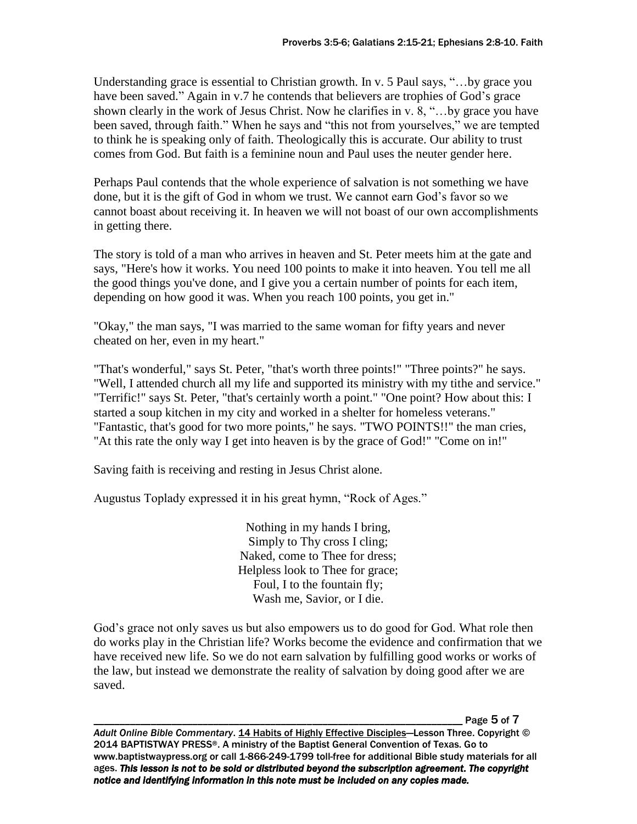Understanding grace is essential to Christian growth. In v. 5 Paul says, "…by grace you have been saved." Again in v.7 he contends that believers are trophies of God's grace shown clearly in the work of Jesus Christ. Now he clarifies in v. 8, "…by grace you have been saved, through faith." When he says and "this not from yourselves," we are tempted to think he is speaking only of faith. Theologically this is accurate. Our ability to trust comes from God. But faith is a feminine noun and Paul uses the neuter gender here.

Perhaps Paul contends that the whole experience of salvation is not something we have done, but it is the gift of God in whom we trust. We cannot earn God's favor so we cannot boast about receiving it. In heaven we will not boast of our own accomplishments in getting there.

The story is told of a man who arrives in heaven and St. Peter meets him at the gate and says, "Here's how it works. You need 100 points to make it into heaven. You tell me all the good things you've done, and I give you a certain number of points for each item, depending on how good it was. When you reach 100 points, you get in."

"Okay," the man says, "I was married to the same woman for fifty years and never cheated on her, even in my heart."

"That's wonderful," says St. Peter, "that's worth three points!" "Three points?" he says. "Well, I attended church all my life and supported its ministry with my tithe and service." "Terrific!" says St. Peter, "that's certainly worth a point." "One point? How about this: I started a soup kitchen in my city and worked in a shelter for homeless veterans." "Fantastic, that's good for two more points," he says. "TWO POINTS!!" the man cries, "At this rate the only way I get into heaven is by the grace of God!" "Come on in!"

Saving faith is receiving and resting in Jesus Christ alone.

Augustus Toplady expressed it in his great hymn, "Rock of Ages."

Nothing in my hands I bring, Simply to Thy cross I cling; Naked, come to Thee for dress; Helpless look to Thee for grace; Foul, I to the fountain fly; Wash me, Savior, or I die.

God's grace not only saves us but also empowers us to do good for God. What role then do works play in the Christian life? Works become the evidence and confirmation that we have received new life. So we do not earn salvation by fulfilling good works or works of the law, but instead we demonstrate the reality of salvation by doing good after we are saved.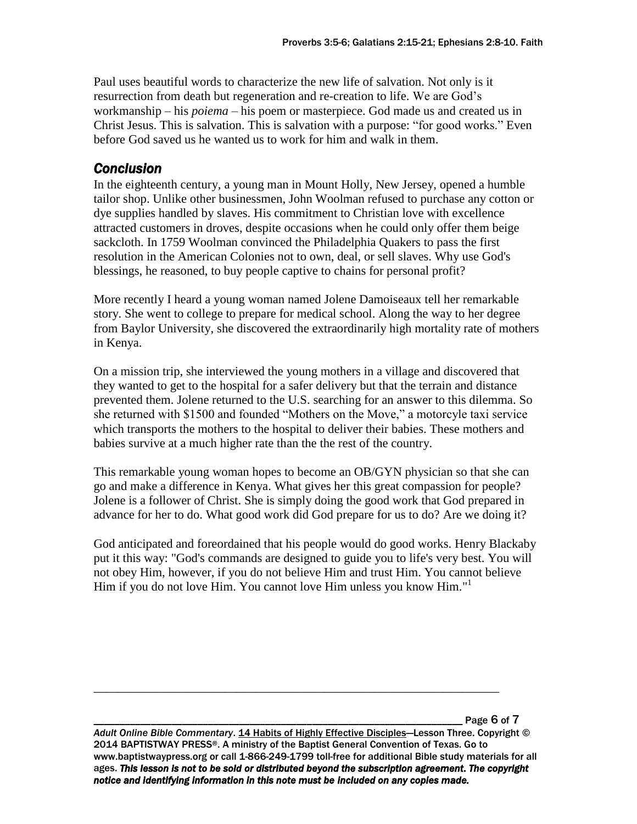Paul uses beautiful words to characterize the new life of salvation. Not only is it resurrection from death but regeneration and re-creation to life. We are God's workmanship – his *poiema* – his poem or masterpiece. God made us and created us in Christ Jesus. This is salvation. This is salvation with a purpose: "for good works." Even before God saved us he wanted us to work for him and walk in them.

# *Conclusion*

In the eighteenth century, a young man in Mount Holly, New Jersey, opened a humble tailor shop. Unlike other businessmen, John Woolman refused to purchase any cotton or dye supplies handled by slaves. His commitment to Christian love with excellence attracted customers in droves, despite occasions when he could only offer them beige sackcloth. In 1759 Woolman convinced the Philadelphia Quakers to pass the first resolution in the American Colonies not to own, deal, or sell slaves. Why use God's blessings, he reasoned, to buy people captive to chains for personal profit?

More recently I heard a young woman named Jolene Damoiseaux tell her remarkable story. She went to college to prepare for medical school. Along the way to her degree from Baylor University, she discovered the extraordinarily high mortality rate of mothers in Kenya.

On a mission trip, she interviewed the young mothers in a village and discovered that they wanted to get to the hospital for a safer delivery but that the terrain and distance prevented them. Jolene returned to the U.S. searching for an answer to this dilemma. So she returned with \$1500 and founded "Mothers on the Move," a motorcyle taxi service which transports the mothers to the hospital to deliver their babies. These mothers and babies survive at a much higher rate than the the rest of the country.

This remarkable young woman hopes to become an OB/GYN physician so that she can go and make a difference in Kenya. What gives her this great compassion for people? Jolene is a follower of Christ. She is simply doing the good work that God prepared in advance for her to do. What good work did God prepare for us to do? Are we doing it?

God anticipated and foreordained that his people would do good works. Henry Blackaby put it this way: "God's commands are designed to guide you to life's very best. You will not obey Him, however, if you do not believe Him and trust Him. You cannot believe Him if you do not love Him. You cannot love Him unless you know Him."<sup>1</sup>

Page 6 of 7

*Adult Online Bible Commentary*. 14 Habits of Highly Effective Disciples—Lesson Three. Copyright © 2014 BAPTISTWAY PRESS®. A ministry of the Baptist General Convention of Texas. Go to www.baptistwaypress.org or call 1-866-249-1799 toll-free for additional Bible study materials for all ages. *This lesson is not to be sold or distributed beyond the subscription agreement. The copyright notice and identifying information in this note must be included on any copies made.* 

\_\_\_\_\_\_\_\_\_\_\_\_\_\_\_\_\_\_\_\_\_\_\_\_\_\_\_\_\_\_\_\_\_\_\_\_\_\_\_\_\_\_\_\_\_\_\_\_\_\_\_\_\_\_\_\_\_\_\_\_\_\_\_\_\_